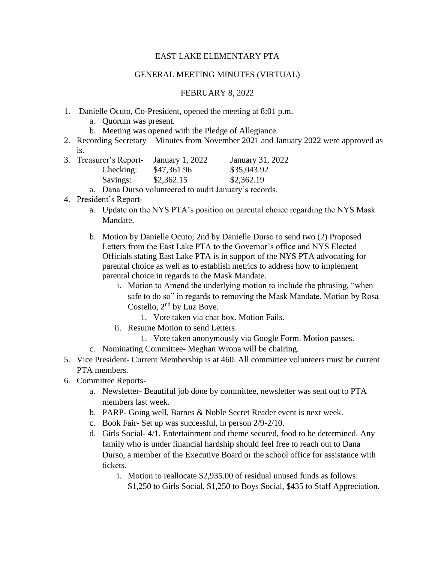## EAST LAKE ELEMENTARY PTA

## GENERAL MEETING MINUTES (VIRTUAL)

## FEBRUARY 8, 2022

- 1. Danielle Ocuto, Co-President, opened the meeting at 8:01 p.m.
	- a. Quorum was present.
	- b. Meeting was opened with the Pledge of Allegiance.
- 2. Recording Secretary Minutes from November 2021 and January 2022 were approved as is.

|  | 3. Treasurer's Report- | January 1, 2022 | January 31, 2022 |
|--|------------------------|-----------------|------------------|
|  | Checking:              | \$47,361.96     | \$35,043.92      |
|  | Savings:               | \$2,362.15      | \$2,362.19       |
|  |                        | $1^{\circ}$ . T |                  |

a. Dana Durso volunteered to audit January's records.

- 4. President's Report
	- a. Update on the NYS PTA's position on parental choice regarding the NYS Mask Mandate.
	- b. Motion by Danielle Ocuto; 2nd by Danielle Durso to send two (2) Proposed Letters from the East Lake PTA to the Governor's office and NYS Elected Officials stating East Lake PTA is in support of the NYS PTA advocating for parental choice as well as to establish metrics to address how to implement parental choice in regards to the Mask Mandate.
		- i. Motion to Amend the underlying motion to include the phrasing, "when safe to do so" in regards to removing the Mask Mandate. Motion by Rosa Costello, 2nd by Luz Bove.
			- 1. Vote taken via chat box. Motion Fails.
		- ii. Resume Motion to send Letters.
			- 1. Vote taken anonymously via Google Form. Motion passes.
	- c. Nominating Committee- Meghan Wrona will be chairing.
- 5. Vice President- Current Membership is at 460. All committee volunteers must be current PTA members.
- 6. Committee Reports
	- a. Newsletter- Beautiful job done by committee, newsletter was sent out to PTA members last week.
	- b. PARP- Going well, Barnes & Noble Secret Reader event is next week.
	- c. Book Fair- Set up was successful, in person 2/9-2/10.
	- d. Girls Social- 4/1. Entertainment and theme secured, food to be determined. Any family who is under financial hardship should feel free to reach out to Dana Durso, a member of the Executive Board or the school office for assistance with tickets.
		- i. Motion to reallocate \$2,935.00 of residual unused funds as follows: \$1,250 to Girls Social, \$1,250 to Boys Social, \$435 to Staff Appreciation.